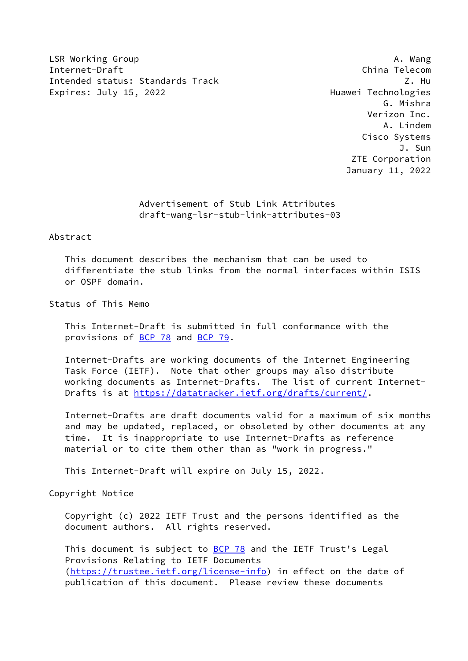LSR Working Group **A. Wang** Internet-Draft China Telecom Intended status: Standards Track Z. Hu Expires: July 15, 2022 **Expires: July 15, 2022** 

 G. Mishra Verizon Inc. A. Lindem Cisco Systems J. Sun ZTE Corporation January 11, 2022

> Advertisement of Stub Link Attributes draft-wang-lsr-stub-link-attributes-03

### Abstract

 This document describes the mechanism that can be used to differentiate the stub links from the normal interfaces within ISIS or OSPF domain.

Status of This Memo

 This Internet-Draft is submitted in full conformance with the provisions of [BCP 78](https://datatracker.ietf.org/doc/pdf/bcp78) and [BCP 79](https://datatracker.ietf.org/doc/pdf/bcp79).

 Internet-Drafts are working documents of the Internet Engineering Task Force (IETF). Note that other groups may also distribute working documents as Internet-Drafts. The list of current Internet- Drafts is at<https://datatracker.ietf.org/drafts/current/>.

 Internet-Drafts are draft documents valid for a maximum of six months and may be updated, replaced, or obsoleted by other documents at any time. It is inappropriate to use Internet-Drafts as reference material or to cite them other than as "work in progress."

This Internet-Draft will expire on July 15, 2022.

Copyright Notice

 Copyright (c) 2022 IETF Trust and the persons identified as the document authors. All rights reserved.

This document is subject to **[BCP 78](https://datatracker.ietf.org/doc/pdf/bcp78)** and the IETF Trust's Legal Provisions Relating to IETF Documents [\(https://trustee.ietf.org/license-info](https://trustee.ietf.org/license-info)) in effect on the date of publication of this document. Please review these documents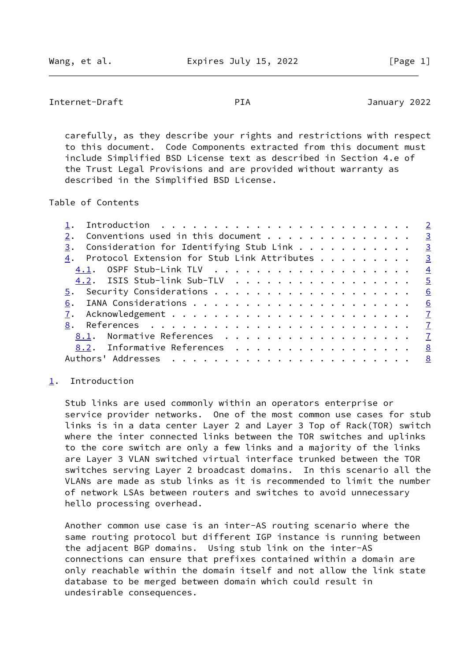```
Internet-Draft PIA January 2022
```
 carefully, as they describe your rights and restrictions with respect to this document. Code Components extracted from this document must include Simplified BSD License text as described in Section 4.e of the Trust Legal Provisions and are provided without warranty as described in the Simplified BSD License.

Table of Contents

| Introduction $\ldots \ldots \ldots \ldots \ldots \ldots \ldots \ldots$ |   |
|------------------------------------------------------------------------|---|
| Conventions used in this document $\cdots$ 3                           |   |
| $\frac{3}{2}$ . Consideration for Identifying Stub Link 3              |   |
| 4. Protocol Extension for Stub Link Attributes 3                       |   |
|                                                                        |   |
| 4.2. ISIS Stub-link Sub-TLV 5                                          |   |
|                                                                        | 6 |
|                                                                        |   |
|                                                                        |   |
|                                                                        |   |
| 8.1. Normative References 7                                            |   |
| 8.2. Informative References 8                                          |   |
|                                                                        |   |

## <span id="page-1-0"></span>[1](#page-1-0). Introduction

 Stub links are used commonly within an operators enterprise or service provider networks. One of the most common use cases for stub links is in a data center Layer 2 and Layer 3 Top of Rack(TOR) switch where the inter connected links between the TOR switches and uplinks to the core switch are only a few links and a majority of the links are Layer 3 VLAN switched virtual interface trunked between the TOR switches serving Layer 2 broadcast domains. In this scenario all the VLANs are made as stub links as it is recommended to limit the number of network LSAs between routers and switches to avoid unnecessary hello processing overhead.

 Another common use case is an inter-AS routing scenario where the same routing protocol but different IGP instance is running between the adjacent BGP domains. Using stub link on the inter-AS connections can ensure that prefixes contained within a domain are only reachable within the domain itself and not allow the link state database to be merged between domain which could result in undesirable consequences.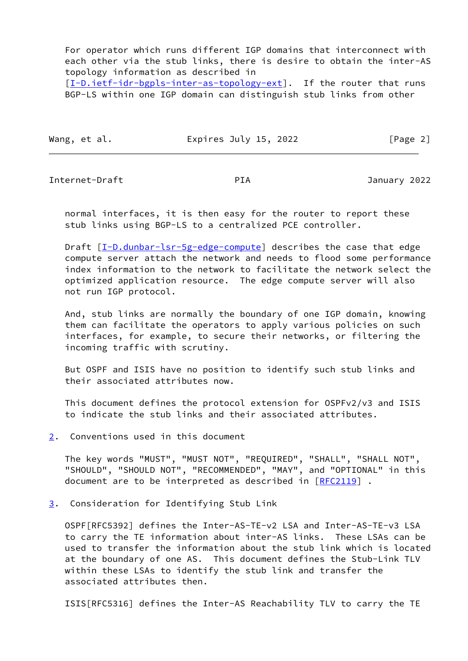For operator which runs different IGP domains that interconnect with each other via the stub links, there is desire to obtain the inter-AS topology information as described in

[\[I-D.ietf-idr-bgpls-inter-as-topology-ext](#page-8-0)]. If the router that runs BGP-LS within one IGP domain can distinguish stub links from other

| Wang, et al. | Expires July 15, 2022 | [Page 2] |
|--------------|-----------------------|----------|
|--------------|-----------------------|----------|

<span id="page-2-1"></span>Internet-Draft PIA January 2022

 normal interfaces, it is then easy for the router to report these stub links using BGP-LS to a centralized PCE controller.

Draft [[I-D.dunbar-lsr-5g-edge-compute](#page-8-1)] describes the case that edge compute server attach the network and needs to flood some performance index information to the network to facilitate the network select the optimized application resource. The edge compute server will also not run IGP protocol.

And, stub links are normally the boundary of one IGP domain, knowing them can facilitate the operators to apply various policies on such interfaces, for example, to secure their networks, or filtering the incoming traffic with scrutiny.

 But OSPF and ISIS have no position to identify such stub links and their associated attributes now.

 This document defines the protocol extension for OSPFv2/v3 and ISIS to indicate the stub links and their associated attributes.

<span id="page-2-0"></span>[2](#page-2-0). Conventions used in this document

 The key words "MUST", "MUST NOT", "REQUIRED", "SHALL", "SHALL NOT", "SHOULD", "SHOULD NOT", "RECOMMENDED", "MAY", and "OPTIONAL" in this document are to be interpreted as described in [\[RFC2119](https://datatracker.ietf.org/doc/pdf/rfc2119)].

<span id="page-2-2"></span>[3](#page-2-2). Consideration for Identifying Stub Link

 OSPF[RFC5392] defines the Inter-AS-TE-v2 LSA and Inter-AS-TE-v3 LSA to carry the TE information about inter-AS links. These LSAs can be used to transfer the information about the stub link which is located at the boundary of one AS. This document defines the Stub-Link TLV within these LSAs to identify the stub link and transfer the associated attributes then.

ISIS[RFC5316] defines the Inter-AS Reachability TLV to carry the TE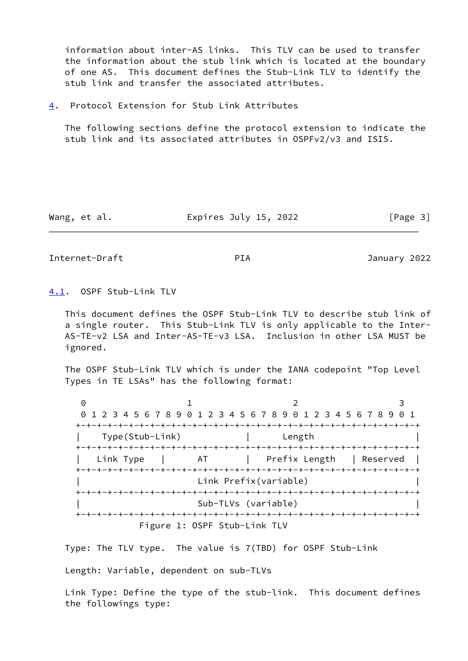information about inter-AS links. This TLV can be used to transfer the information about the stub link which is located at the boundary of one AS. This document defines the Stub-Link TLV to identify the stub link and transfer the associated attributes.

<span id="page-3-0"></span>[4](#page-3-0). Protocol Extension for Stub Link Attributes

 The following sections define the protocol extension to indicate the stub link and its associated attributes in OSPFv2/v3 and ISIS.

Wang, et al. **Expires July 15, 2022** [Page 3]

<span id="page-3-2"></span>Internet-Draft PIA January 2022

<span id="page-3-1"></span>[4.1](#page-3-1). OSPF Stub-Link TLV

 This document defines the OSPF Stub-Link TLV to describe stub link of a single router. This Stub-Link TLV is only applicable to the Inter- AS-TE-v2 LSA and Inter-AS-TE-v3 LSA. Inclusion in other LSA MUST be ignored.

 The OSPF Stub-Link TLV which is under the IANA codepoint "Top Level Types in TE LSAs" has the following format:

0 1 2 3 0 1 2 3 4 5 6 7 8 9 0 1 2 3 4 5 6 7 8 9 0 1 2 3 4 5 6 7 8 9 0 1 +-+-+-+-+-+-+-+-+-+-+-+-+-+-+-+-+-+-+-+-+-+-+-+-+-+-+-+-+-+-+-+-+ | Type(Stub-Link) | Length | +-+-+-+-+-+-+-+-+-+-+-+-+-+-+-+-+-+-+-+-+-+-+-+-+-+-+-+-+-+-+-+-+ Link Type | AT | Prefix Length | Reserved | +-+-+-+-+-+-+-+-+-+-+-+-+-+-+-+-+-+-+-+-+-+-+-+-+-+-+-+-+-+-+-+-+ Link Prefix(variable) +-+-+-+-+-+-+-+-+-+-+-+-+-+-+-+-+-+-+-+-+-+-+-+-+-+-+-+-+-+-+-+-+ | Sub-TLVs (variable) | +-+-+-+-+-+-+-+-+-+-+-+-+-+-+-+-+-+-+-+-+-+-+-+-+-+-+-+-+-+-+-+-+ Figure 1: OSPF Stub-Link TLV

Type: The TLV type. The value is 7(TBD) for OSPF Stub-Link

Length: Variable, dependent on sub-TLVs

 Link Type: Define the type of the stub-link. This document defines the followings type: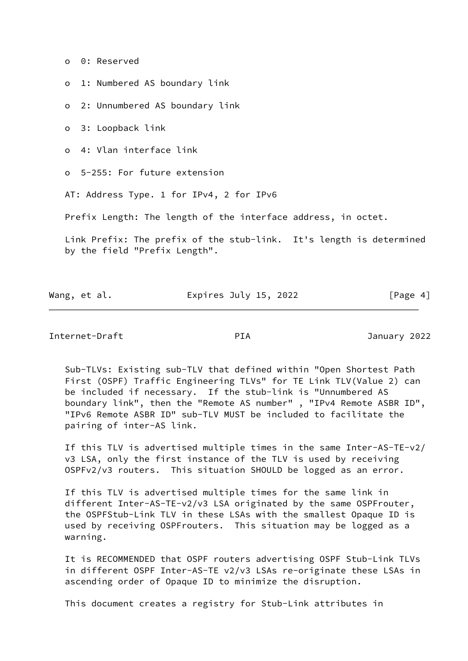o 0: Reserved

o 1: Numbered AS boundary link

o 2: Unnumbered AS boundary link

o 3: Loopback link

o 4: Vlan interface link

o 5-255: For future extension

AT: Address Type. 1 for IPv4, 2 for IPv6

Prefix Length: The length of the interface address, in octet.

 Link Prefix: The prefix of the stub-link. It's length is determined by the field "Prefix Length".

| Wang, et al. | Expires July 15, 2022 | [Page 4] |
|--------------|-----------------------|----------|

<span id="page-4-0"></span>Internet-Draft PIA January 2022

 Sub-TLVs: Existing sub-TLV that defined within "Open Shortest Path First (OSPF) Traffic Engineering TLVs" for TE Link TLV(Value 2) can be included if necessary. If the stub-link is "Unnumbered AS boundary link", then the "Remote AS number" , "IPv4 Remote ASBR ID", "IPv6 Remote ASBR ID" sub-TLV MUST be included to facilitate the pairing of inter-AS link.

 If this TLV is advertised multiple times in the same Inter-AS-TE-v2/ v3 LSA, only the first instance of the TLV is used by receiving OSPFv2/v3 routers. This situation SHOULD be logged as an error.

 If this TLV is advertised multiple times for the same link in different Inter-AS-TE-v2/v3 LSA originated by the same OSPFrouter, the OSPFStub-Link TLV in these LSAs with the smallest Opaque ID is used by receiving OSPFrouters. This situation may be logged as a warning.

 It is RECOMMENDED that OSPF routers advertising OSPF Stub-Link TLVs in different OSPF Inter-AS-TE v2/v3 LSAs re-originate these LSAs in ascending order of Opaque ID to minimize the disruption.

This document creates a registry for Stub-Link attributes in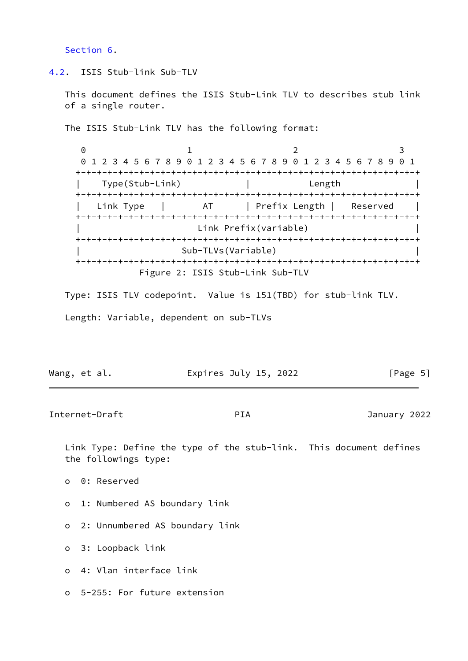[Section 6](#page-6-1).

### <span id="page-5-0"></span>[4.2](#page-5-0). ISIS Stub-link Sub-TLV

 This document defines the ISIS Stub-Link TLV to describes stub link of a single router.

The ISIS Stub-Link TLV has the following format:

0 1 2 3 0 1 2 3 4 5 6 7 8 9 0 1 2 3 4 5 6 7 8 9 0 1 2 3 4 5 6 7 8 9 0 1 +-+-+-+-+-+-+-+-+-+-+-+-+-+-+-+-+-+-+-+-+-+-+-+-+-+-+-+-+-+-+-+-+ | Type(Stub-Link) | Length | +-+-+-+-+-+-+-+-+-+-+-+-+-+-+-+-+-+-+-+-+-+-+-+-+-+-+-+-+-+-+-+-+ Link Type | AT | Prefix Length | Reserved +-+-+-+-+-+-+-+-+-+-+-+-+-+-+-+-+-+-+-+-+-+-+-+-+-+-+-+-+-+-+-+-+ | Link Prefix(variable) | +-+-+-+-+-+-+-+-+-+-+-+-+-+-+-+-+-+-+-+-+-+-+-+-+-+-+-+-+-+-+-+-+ | Sub-TLVs(Variable) | +-+-+-+-+-+-+-+-+-+-+-+-+-+-+-+-+-+-+-+-+-+-+-+-+-+-+-+-+-+-+-+-+ Figure 2: ISIS Stub-Link Sub-TLV

 Type: ISIS TLV codepoint. Value is 151(TBD) for stub-link TLV. Length: Variable, dependent on sub-TLVs

|  | Wang, et al. | Expires July 15, 2022 | [Page 5] |
|--|--------------|-----------------------|----------|
|--|--------------|-----------------------|----------|

<span id="page-5-1"></span>Internet-Draft PIA January 2022

 Link Type: Define the type of the stub-link. This document defines the followings type:

o 0: Reserved

- o 1: Numbered AS boundary link
- o 2: Unnumbered AS boundary link
- o 3: Loopback link
- o 4: Vlan interface link
- o 5-255: For future extension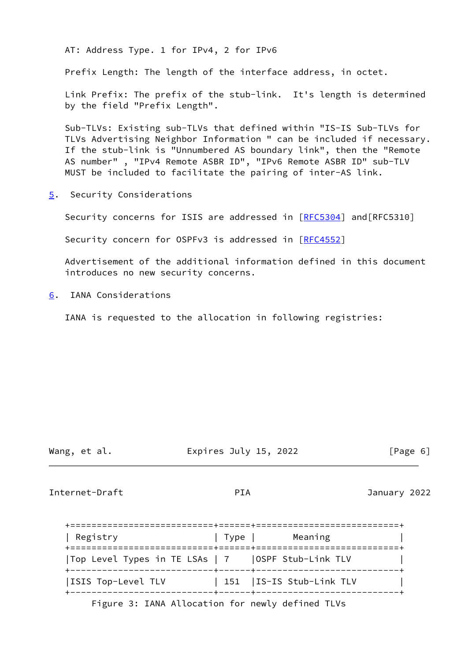AT: Address Type. 1 for IPv4, 2 for IPv6

Prefix Length: The length of the interface address, in octet.

 Link Prefix: The prefix of the stub-link. It's length is determined by the field "Prefix Length".

 Sub-TLVs: Existing sub-TLVs that defined within "IS-IS Sub-TLVs for TLVs Advertising Neighbor Information " can be included if necessary. If the stub-link is "Unnumbered AS boundary link", then the "Remote AS number" , "IPv4 Remote ASBR ID", "IPv6 Remote ASBR ID" sub-TLV MUST be included to facilitate the pairing of inter-AS link.

<span id="page-6-0"></span>[5](#page-6-0). Security Considerations

Security concerns for ISIS are addressed in [\[RFC5304](https://datatracker.ietf.org/doc/pdf/rfc5304)] and [RFC5310]

Security concern for OSPFv3 is addressed in [\[RFC4552](https://datatracker.ietf.org/doc/pdf/rfc4552)]

 Advertisement of the additional information defined in this document introduces no new security concerns.

<span id="page-6-1"></span>[6](#page-6-1). IANA Considerations

IANA is requested to the allocation in following registries:

Wang, et al. Expires July 15, 2022 [Page 6]

<span id="page-6-2"></span>Internet-Draft PIA January 2022

| Registry                                         | Type | Meaning                                                  |
|--------------------------------------------------|------|----------------------------------------------------------|
| Top Level Types in TE LSAs   7                   |      | OSPF Stub-Link TLV                                       |
| ISIS Top-Level TLV                               |      | 151   IS-IS Stub-Link TLV<br>-+------+------------------ |
| Figure 3: IANA Allocation for newly defined TLVs |      |                                                          |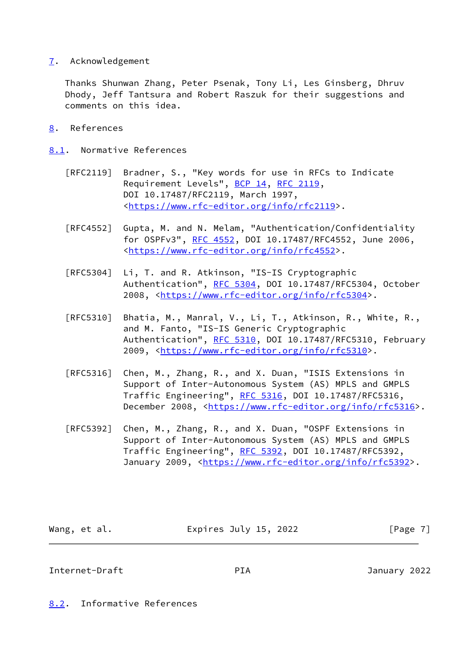# <span id="page-7-0"></span>[7](#page-7-0). Acknowledgement

 Thanks Shunwan Zhang, Peter Psenak, Tony Li, Les Ginsberg, Dhruv Dhody, Jeff Tantsura and Robert Raszuk for their suggestions and comments on this idea.

- <span id="page-7-1"></span>[8](#page-7-1). References
- <span id="page-7-2"></span>[8.1](#page-7-2). Normative References
	- [RFC2119] Bradner, S., "Key words for use in RFCs to Indicate Requirement Levels", [BCP 14](https://datatracker.ietf.org/doc/pdf/bcp14), [RFC 2119](https://datatracker.ietf.org/doc/pdf/rfc2119), DOI 10.17487/RFC2119, March 1997, <[https://www.rfc-editor.org/info/rfc2119>](https://www.rfc-editor.org/info/rfc2119).
	- [RFC4552] Gupta, M. and N. Melam, "Authentication/Confidentiality for OSPFv3", [RFC 4552](https://datatracker.ietf.org/doc/pdf/rfc4552), DOI 10.17487/RFC4552, June 2006, <[https://www.rfc-editor.org/info/rfc4552>](https://www.rfc-editor.org/info/rfc4552).
	- [RFC5304] Li, T. and R. Atkinson, "IS-IS Cryptographic Authentication", [RFC 5304,](https://datatracker.ietf.org/doc/pdf/rfc5304) DOI 10.17487/RFC5304, October 2008, [<https://www.rfc-editor.org/info/rfc5304](https://www.rfc-editor.org/info/rfc5304)>.
	- [RFC5310] Bhatia, M., Manral, V., Li, T., Atkinson, R., White, R., and M. Fanto, "IS-IS Generic Cryptographic Authentication", [RFC 5310,](https://datatracker.ietf.org/doc/pdf/rfc5310) DOI 10.17487/RFC5310, February 2009, [<https://www.rfc-editor.org/info/rfc5310](https://www.rfc-editor.org/info/rfc5310)>.
	- [RFC5316] Chen, M., Zhang, R., and X. Duan, "ISIS Extensions in Support of Inter-Autonomous System (AS) MPLS and GMPLS Traffic Engineering", [RFC 5316](https://datatracker.ietf.org/doc/pdf/rfc5316), DOI 10.17487/RFC5316, December 2008, <<https://www.rfc-editor.org/info/rfc5316>>.
	- [RFC5392] Chen, M., Zhang, R., and X. Duan, "OSPF Extensions in Support of Inter-Autonomous System (AS) MPLS and GMPLS Traffic Engineering", [RFC 5392](https://datatracker.ietf.org/doc/pdf/rfc5392), DOI 10.17487/RFC5392, January 2009, [<https://www.rfc-editor.org/info/rfc5392](https://www.rfc-editor.org/info/rfc5392)>.

| Wang, et al. | Expires July 15, 2022 | [Page 7] |
|--------------|-----------------------|----------|
|              |                       |          |

<span id="page-7-4"></span>Internet-Draft PIA January 2022

<span id="page-7-3"></span>[8.2](#page-7-3). Informative References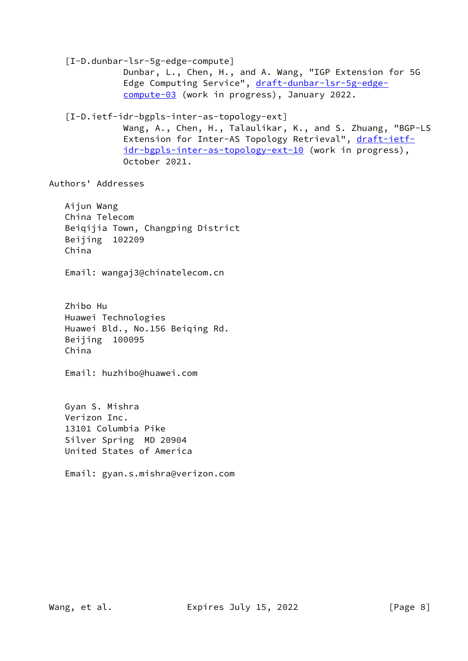<span id="page-8-1"></span><span id="page-8-0"></span> [I-D.dunbar-lsr-5g-edge-compute] Dunbar, L., Chen, H., and A. Wang, "IGP Extension for 5G Edge Computing Service", [draft-dunbar-lsr-5g-edge](https://datatracker.ietf.org/doc/pdf/draft-dunbar-lsr-5g-edge-compute-03) [compute-03](https://datatracker.ietf.org/doc/pdf/draft-dunbar-lsr-5g-edge-compute-03) (work in progress), January 2022. [I-D.ietf-idr-bgpls-inter-as-topology-ext] Wang, A., Chen, H., Talaulikar, K., and S. Zhuang, "BGP-LS Extension for Inter-AS Topology Retrieval", [draft-ietf](https://datatracker.ietf.org/doc/pdf/draft-ietf-idr-bgpls-inter-as-topology-ext-10) [idr-bgpls-inter-as-topology-ext-10](https://datatracker.ietf.org/doc/pdf/draft-ietf-idr-bgpls-inter-as-topology-ext-10) (work in progress), October 2021. Authors' Addresses Aijun Wang China Telecom Beiqijia Town, Changping District Beijing 102209 China Email: wangaj3@chinatelecom.cn Zhibo Hu Huawei Technologies Huawei Bld., No.156 Beiqing Rd. Beijing 100095 China Email: huzhibo@huawei.com Gyan S. Mishra Verizon Inc. 13101 Columbia Pike Silver Spring MD 20904 United States of America Email: gyan.s.mishra@verizon.com